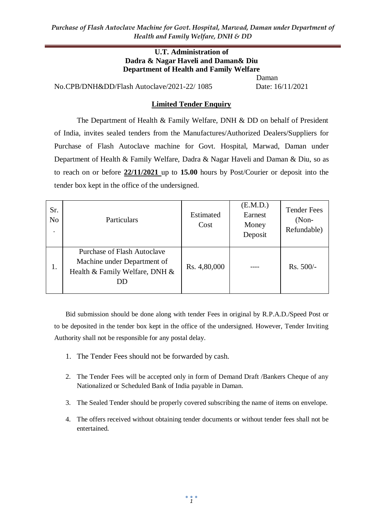*Purchase of Flash Autoclave Machine for Govt. Hospital, Marwad, Daman under Department of Health and Family Welfare, DNH & DD* 

#### **U.T. Administration of Dadra & Nagar Haveli and Daman& Diu Department of Health and Family Welfare**

No.CPB/DNH&DD/Flash Autoclave/2021-22/ 1085 Date: 16/11/2021

Daman

#### **Limited Tender Enquiry**

The Department of Health & Family Welfare, DNH & DD on behalf of President of India, invites sealed tenders from the Manufactures/Authorized Dealers/Suppliers for Purchase of Flash Autoclave machine for Govt. Hospital, Marwad, Daman under Department of Health & Family Welfare, Dadra & Nagar Haveli and Daman & Diu, so as to reach on or before **22/11/2021** up to **15.00** hours by Post/Courier or deposit into the tender box kept in the office of the undersigned.

| Sr.<br>No | Particulars                                                                                               | Estimated<br>Cost | (E.M.D.)<br>Earnest<br>Money<br>Deposit | <b>Tender Fees</b><br>$(Non-$<br>Refundable) |
|-----------|-----------------------------------------------------------------------------------------------------------|-------------------|-----------------------------------------|----------------------------------------------|
| 1.        | <b>Purchase of Flash Autoclave</b><br>Machine under Department of<br>Health & Family Welfare, DNH &<br>DD | Rs. 4,80,000      |                                         | $Rs. 500/-$                                  |

Bid submission should be done along with tender Fees in original by R.P.A.D./Speed Post or to be deposited in the tender box kept in the office of the undersigned. However, Tender Inviting Authority shall not be responsible for any postal delay.

- 1. The Tender Fees should not be forwarded by cash.
- 2. The Tender Fees will be accepted only in form of Demand Draft /Bankers Cheque of any Nationalized or Scheduled Bank of India payable in Daman.
- 3. The Sealed Tender should be properly covered subscribing the name of items on envelope.
- 4. The offers received without obtaining tender documents or without tender fees shall not be entertained.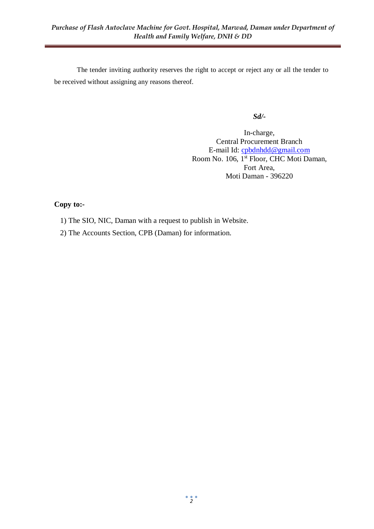The tender inviting authority reserves the right to accept or reject any or all the tender to be received without assigning any reasons thereof.

*Sd/-*

In-charge, Central Procurement Branch E-mail Id: [cpbdnhdd@gmail.com](mailto:cpbdnhdd@gmail.com) Room No. 106, 1<sup>st</sup> Floor, CHC Moti Daman, Fort Area, Moti Daman - 396220

# **Copy to:-**

- 1) The SIO, NIC, Daman with a request to publish in Website.
- 2) The Accounts Section, CPB (Daman) for information.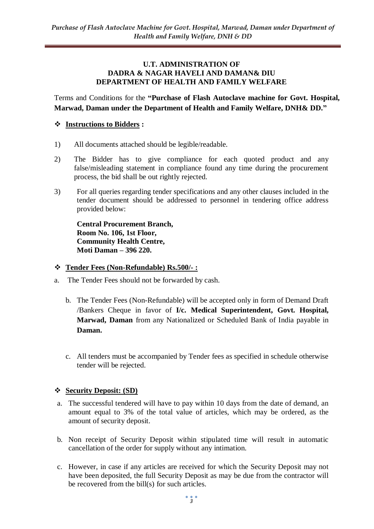#### **U.T. ADMINISTRATION OF DADRA & NAGAR HAVELI AND DAMAN& DIU DEPARTMENT OF HEALTH AND FAMILY WELFARE**

Terms and Conditions for the **"Purchase of Flash Autoclave machine for Govt. Hospital, Marwad, Daman under the Department of Health and Family Welfare, DNH& DD."**

## **Instructions to Bidders :**

- 1) All documents attached should be legible/readable.
- 2) The Bidder has to give compliance for each quoted product and any false/misleading statement in compliance found any time during the procurement process, the bid shall be out rightly rejected.
- 3) For all queries regarding tender specifications and any other clauses included in the tender document should be addressed to personnel in tendering office address provided below:

**Central Procurement Branch, Room No. 106, 1st Floor, Community Health Centre, Moti Daman – 396 220.**

#### **Tender Fees (Non-Refundable) Rs.500/- :**

- a. The Tender Fees should not be forwarded by cash.
	- b. The Tender Fees (Non-Refundable) will be accepted only in form of Demand Draft /Bankers Cheque in favor of **I/c. Medical Superintendent, Govt. Hospital, Marwad, Daman** from any Nationalized or Scheduled Bank of India payable in **Daman.**
	- c. All tenders must be accompanied by Tender fees as specified in schedule otherwise tender will be rejected.

#### **Security Deposit: (SD)**

- a. The successful tendered will have to pay within 10 days from the date of demand, an amount equal to 3% of the total value of articles, which may be ordered, as the amount of security deposit.
- b. Non receipt of Security Deposit within stipulated time will result in automatic cancellation of the order for supply without any intimation.
- c. However, in case if any articles are received for which the Security Deposit may not have been deposited, the full Security Deposit as may be due from the contractor will be recovered from the bill(s) for such articles.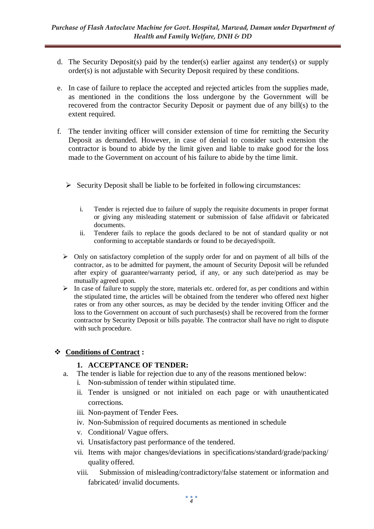- d. The Security Deposit(s) paid by the tender(s) earlier against any tender(s) or supply order(s) is not adjustable with Security Deposit required by these conditions.
- e. In case of failure to replace the accepted and rejected articles from the supplies made, as mentioned in the conditions the loss undergone by the Government will be recovered from the contractor Security Deposit or payment due of any bill(s) to the extent required.
- f. The tender inviting officer will consider extension of time for remitting the Security Deposit as demanded. However, in case of denial to consider such extension the contractor is bound to abide by the limit given and liable to make good for the loss made to the Government on account of his failure to abide by the time limit.
	- $\triangleright$  Security Deposit shall be liable to be forfeited in following circumstances:
		- i. Tender is rejected due to failure of supply the requisite documents in proper format or giving any misleading statement or submission of false affidavit or fabricated documents.
		- ii. Tenderer fails to replace the goods declared to be not of standard quality or not conforming to acceptable standards or found to be decayed/spoilt.
	- $\triangleright$  Only on satisfactory completion of the supply order for and on payment of all bills of the contractor, as to be admitted for payment, the amount of Security Deposit will be refunded after expiry of guarantee/warranty period, if any, or any such date/period as may be mutually agreed upon.
	- $\triangleright$  In case of failure to supply the store, materials etc. ordered for, as per conditions and within the stipulated time, the articles will be obtained from the tenderer who offered next higher rates or from any other sources, as may be decided by the tender inviting Officer and the loss to the Government on account of such purchases(s) shall be recovered from the former contractor by Security Deposit or bills payable. The contractor shall have no right to dispute with such procedure.

#### **Conditions of Contract :**

#### **1. ACCEPTANCE OF TENDER:**

- a. The tender is liable for rejection due to any of the reasons mentioned below:
	- i. Non-submission of tender within stipulated time.
	- ii. Tender is unsigned or not initialed on each page or with unauthenticated corrections.
	- iii. Non-payment of Tender Fees.
	- iv. Non-Submission of required documents as mentioned in schedule
	- v. Conditional/ Vague offers.
	- vi. Unsatisfactory past performance of the tendered.
	- vii. Items with major changes/deviations in specifications/standard/grade/packing/ quality offered.
	- viii. Submission of misleading/contradictory/false statement or information and fabricated/ invalid documents.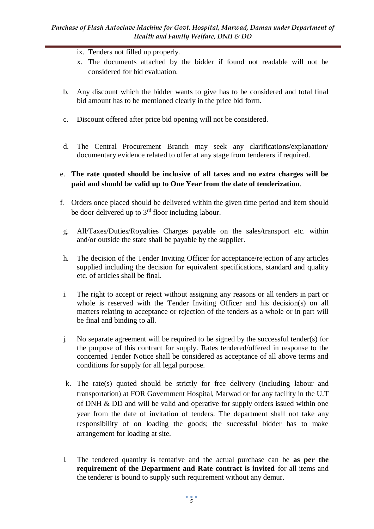- ix. Tenders not filled up properly.
- x. The documents attached by the bidder if found not readable will not be considered for bid evaluation.
- b. Any discount which the bidder wants to give has to be considered and total final bid amount has to be mentioned clearly in the price bid form.
- c. Discount offered after price bid opening will not be considered.
- d. The Central Procurement Branch may seek any clarifications/explanation/ documentary evidence related to offer at any stage from tenderers if required.

#### e. **The rate quoted should be inclusive of all taxes and no extra charges will be paid and should be valid up to One Year from the date of tenderization**.

- f. Orders once placed should be delivered within the given time period and item should be door delivered up to  $3<sup>rd</sup>$  floor including labour.
- g. All/Taxes/Duties/Royalties Charges payable on the sales/transport etc. within and/or outside the state shall be payable by the supplier.
- h. The decision of the Tender Inviting Officer for acceptance/rejection of any articles supplied including the decision for equivalent specifications, standard and quality etc. of articles shall be final.
- i. The right to accept or reject without assigning any reasons or all tenders in part or whole is reserved with the Tender Inviting Officer and his decision(s) on all matters relating to acceptance or rejection of the tenders as a whole or in part will be final and binding to all.
- j. No separate agreement will be required to be signed by the successful tender(s) for the purpose of this contract for supply. Rates tendered/offered in response to the concerned Tender Notice shall be considered as acceptance of all above terms and conditions for supply for all legal purpose.
- k. The rate(s) quoted should be strictly for free delivery (including labour and transportation) at FOR Government Hospital, Marwad or for any facility in the U.T of DNH & DD and will be valid and operative for supply orders issued within one year from the date of invitation of tenders. The department shall not take any responsibility of on loading the goods; the successful bidder has to make arrangement for loading at site.
- l. The tendered quantity is tentative and the actual purchase can be **as per the requirement of the Department and Rate contract is invited** for all items and the tenderer is bound to supply such requirement without any demur.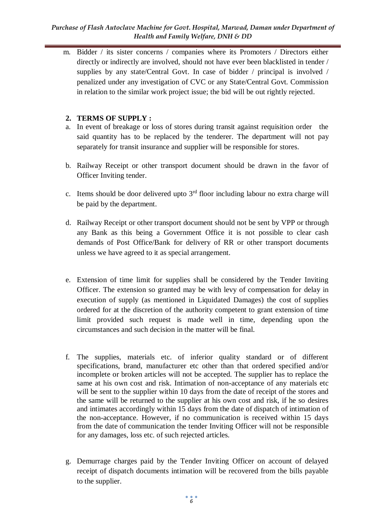#### *Purchase of Flash Autoclave Machine for Govt. Hospital, Marwad, Daman under Department of Health and Family Welfare, DNH & DD*

m. Bidder / its sister concerns / companies where its Promoters / Directors either directly or indirectly are involved, should not have ever been blacklisted in tender / supplies by any state/Central Govt. In case of bidder / principal is involved / penalized under any investigation of CVC or any State/Central Govt. Commission in relation to the similar work project issue; the bid will be out rightly rejected.

## **2. TERMS OF SUPPLY :**

- a. In event of breakage or loss of stores during transit against requisition order the said quantity has to be replaced by the tenderer. The department will not pay separately for transit insurance and supplier will be responsible for stores.
- b. Railway Receipt or other transport document should be drawn in the favor of Officer Inviting tender.
- c. Items should be door delivered upto  $3<sup>rd</sup>$  floor including labour no extra charge will be paid by the department.
- d. Railway Receipt or other transport document should not be sent by VPP or through any Bank as this being a Government Office it is not possible to clear cash demands of Post Office/Bank for delivery of RR or other transport documents unless we have agreed to it as special arrangement.
- e. Extension of time limit for supplies shall be considered by the Tender Inviting Officer. The extension so granted may be with levy of compensation for delay in execution of supply (as mentioned in Liquidated Damages) the cost of supplies ordered for at the discretion of the authority competent to grant extension of time limit provided such request is made well in time, depending upon the circumstances and such decision in the matter will be final.
- f. The supplies, materials etc. of inferior quality standard or of different specifications, brand, manufacturer etc other than that ordered specified and/or incomplete or broken articles will not be accepted. The supplier has to replace the same at his own cost and risk. Intimation of non-acceptance of any materials etc will be sent to the supplier within 10 days from the date of receipt of the stores and the same will be returned to the supplier at his own cost and risk, if he so desires and intimates accordingly within 15 days from the date of dispatch of intimation of the non-acceptance. However, if no communication is received within 15 days from the date of communication the tender Inviting Officer will not be responsible for any damages, loss etc. of such rejected articles.
- g. Demurrage charges paid by the Tender Inviting Officer on account of delayed receipt of dispatch documents intimation will be recovered from the bills payable to the supplier.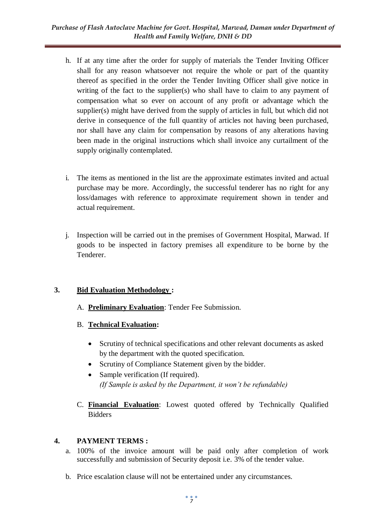- h. If at any time after the order for supply of materials the Tender Inviting Officer shall for any reason whatsoever not require the whole or part of the quantity thereof as specified in the order the Tender Inviting Officer shall give notice in writing of the fact to the supplier(s) who shall have to claim to any payment of compensation what so ever on account of any profit or advantage which the supplier(s) might have derived from the supply of articles in full, but which did not derive in consequence of the full quantity of articles not having been purchased, nor shall have any claim for compensation by reasons of any alterations having been made in the original instructions which shall invoice any curtailment of the supply originally contemplated.
- i. The items as mentioned in the list are the approximate estimates invited and actual purchase may be more. Accordingly, the successful tenderer has no right for any loss/damages with reference to approximate requirement shown in tender and actual requirement.
- j. Inspection will be carried out in the premises of Government Hospital, Marwad. If goods to be inspected in factory premises all expenditure to be borne by the Tenderer.

## **3. Bid Evaluation Methodology :**

- A. **Preliminary Evaluation**: Tender Fee Submission.
- B. **Technical Evaluation:** 
	- Scrutiny of technical specifications and other relevant documents as asked by the department with the quoted specification.
	- Scrutiny of Compliance Statement given by the bidder.
	- Sample verification (If required). *(If Sample is asked by the Department, it won't be refundable)*
- C. **Financial Evaluation**: Lowest quoted offered by Technically Qualified Bidders

# **4. PAYMENT TERMS :**

- a. 100% of the invoice amount will be paid only after completion of work successfully and submission of Security deposit i.e. 3% of the tender value.
- b. Price escalation clause will not be entertained under any circumstances.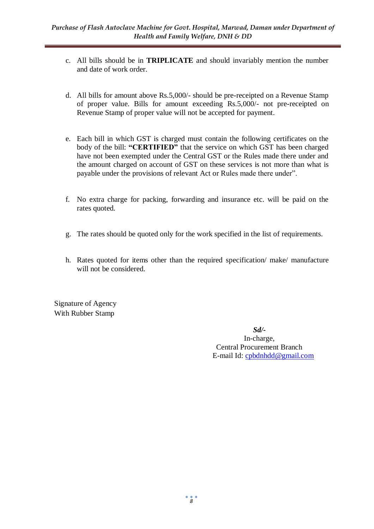- c. All bills should be in **TRIPLICATE** and should invariably mention the number and date of work order.
- d. All bills for amount above Rs.5,000/- should be pre-receipted on a Revenue Stamp of proper value. Bills for amount exceeding Rs.5,000/- not pre-receipted on Revenue Stamp of proper value will not be accepted for payment.
- e. Each bill in which GST is charged must contain the following certificates on the body of the bill: **"CERTIFIED"** that the service on which GST has been charged have not been exempted under the Central GST or the Rules made there under and the amount charged on account of GST on these services is not more than what is payable under the provisions of relevant Act or Rules made there under".
- f. No extra charge for packing, forwarding and insurance etc. will be paid on the rates quoted.
- g. The rates should be quoted only for the work specified in the list of requirements.
- h. Rates quoted for items other than the required specification/ make/ manufacture will not be considered.

Signature of Agency With Rubber Stamp

> *Sd/-* In-charge, Central Procurement Branch E-mail Id: [cpbdnhdd@gmail.com](mailto:cpbdnhdd@gmail.com)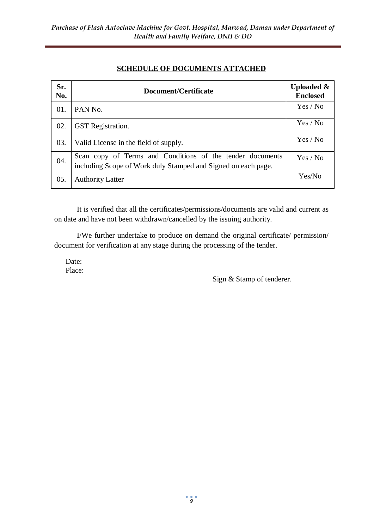## **SCHEDULE OF DOCUMENTS ATTACHED**

| Sr.<br>No. | Document/Certificate                                                                                                       | <b>Uploaded &amp;</b><br><b>Enclosed</b> |
|------------|----------------------------------------------------------------------------------------------------------------------------|------------------------------------------|
| 01.        | PAN No.                                                                                                                    | Yes / No                                 |
| 02.        | <b>GST</b> Registration.                                                                                                   | Yes / No                                 |
| 03.        | Valid License in the field of supply.                                                                                      | Yes / No                                 |
| 04.        | Scan copy of Terms and Conditions of the tender documents<br>including Scope of Work duly Stamped and Signed on each page. | Yes / No                                 |
| 05.        | <b>Authority Latter</b>                                                                                                    | Yes/No                                   |

It is verified that all the certificates/permissions/documents are valid and current as on date and have not been withdrawn/cancelled by the issuing authority.

I/We further undertake to produce on demand the original certificate/ permission/ document for verification at any stage during the processing of the tender.

Date: Place:

Sign & Stamp of tenderer.